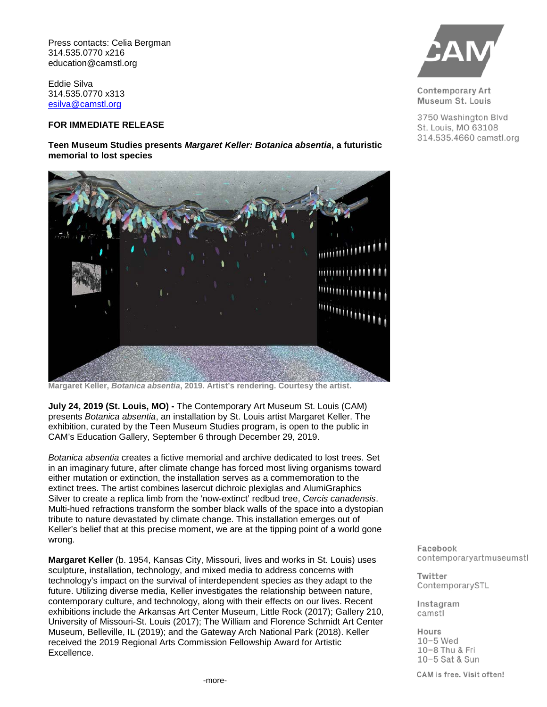Press contacts: Celia Bergman 314.535.0770 x216 education@camstl.org

Eddie Silva 314.535.0770 x313 [esilva@camstl.org](mailto:esilva@camstl.org)

## **FOR IMMEDIATE RELEASE**

**Teen Museum Studies presents** *Margaret Keller: Botanica absentia***, a futuristic memorial to lost species**



**Margaret Keller,** *Botanica absentia***, 2019. Artist's rendering. Courtesy the artist.**

**July 24, 2019 (St. Louis, MO) -** The Contemporary Art Museum St. Louis (CAM) presents *Botanica absentia*, an installation by St. Louis artist Margaret Keller. The exhibition, curated by the Teen Museum Studies program, is open to the public in CAM's Education Gallery, September 6 through December 29, 2019.

*Botanica absentia* creates a fictive memorial and archive dedicated to lost trees. Set in an imaginary future, after climate change has forced most living organisms toward either mutation or extinction, the installation serves as a commemoration to the extinct trees. The artist combines lasercut dichroic plexiglas and AlumiGraphics Silver to create a replica limb from the 'now-extinct' redbud tree, *Cercis canadensis*. Multi-hued refractions transform the somber black walls of the space into a dystopian tribute to nature devastated by climate change. This installation emerges out of Keller's belief that at this precise moment, we are at the tipping point of a world gone wrong.

**Margaret Keller** (b. 1954, Kansas City, Missouri, lives and works in St. Louis) uses sculpture, installation, technology, and mixed media to address concerns with technology's impact on the survival of interdependent species as they adapt to the future. Utilizing diverse media, Keller investigates the relationship between nature, contemporary culture, and technology, along with their effects on our lives. Recent exhibitions include the Arkansas Art Center Museum, Little Rock (2017); Gallery 210, University of Missouri-St. Louis (2017); The William and Florence Schmidt Art Center Museum, Belleville, IL (2019); and the Gateway Arch National Park (2018). Keller received the 2019 Regional Arts Commission Fellowship Award for Artistic Excellence.



**Contemporary Art** Museum St. Louis

3750 Washington Blvd St. Louis, MO 63108 314.535.4660 camstl.org

Facebook contemporaryartmuseumstl

Twitter ContemporarySTL

Instagram camstl

Hours  $10-5$  Wed 10-8 Thu & Fri 10-5 Sat & Sun

CAM is free. Visit often!